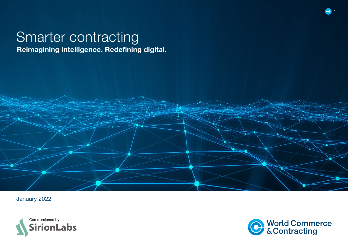# Smarter contracting

Reimagining intelligence. Redefining digital.







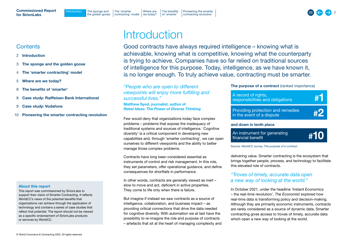Introduction The sponge and The 'smarter [the golden goose](#page-2-0)

[contracting' model](#page-3-0) | we today?

2

## <span id="page-1-0"></span>**Contents**

- 2 Introduction
- 3 [The sponge and the golden goose](#page-2-0)
- 4 [The 'smarter contracting' model](#page-3-0)
- 5 [Where are we today?](#page-4-0)
- 8 [The benefits of 'smarter'](#page-7-0)
- 8 [Case study: Raiffeisen Bank International](#page-7-0)
- 9 [Case study: Vodafone](#page-8-0)
- 10 [Pioneering the smarter contracting revolution](#page-9-0)

### About this report

This report was commissioned by SirionLabs to support their vision of Smarter Contracting. It reflects WorldCC's views of the potential benefits that organizations can achieve through the application of technology and contains a series of case studies that reflect that potential. The report should not be viewed as a specific endorsement of SirionLabs products or services by WorldCC.

# **Introduction**

[Where are](#page-4-0) 

Good contracts have always required intelligence – knowing what is achievable, knowing what is competitive, knowing what the counterparty is trying to achieve. Companies have so far relied on traditional sources of intelligence for this purpose. Today, intelligence, as we have known it, is no longer enough. To truly achieve value, contracting must be smarter.

*"People who are open to different viewpoints will enjoy more fulfilling and successful lives."* 

### Matthew Syed, journalist, author of *Rebel Ideas: The Power of Diverse Thinking*

Few would deny that organizations today face complex problems – problems that expose the inadequacy of traditional systems and sources of intelligence. 'Cognitive diversity' is a critical component in developing new capabilities and, through 'smarter contracting', we can open ourselves to different viewpoints and the ability to better manage those complex problems.

Contracts have long been considered essential as instruments of control and risk management. In this role, they set parameters, offer operational guidance, and define consequences for shortfalls in performance.

In other words, contracts are generally viewed as inert – slow to move and act, deficient in active properties. They come to life only when there is failure.

But imagine if instead we saw contracts as a source of intelligence, collaboration, and business impact – as providing critical connections that drive the data needed for cognitive diversity. With automation we at last have the possibility to re-imagine the role and purpose of contracts – artefacts that sit at the heart of managing complexity and The purpose of a contract (ranked importance)

| A record of rights,<br>responsibilities and obligations        | #1 |
|----------------------------------------------------------------|----|
| Providing protection and remedies<br>in the event of a dispute | #2 |
| and down in tenth place                                        |    |

| An instrument for generating<br>#10<br>financial benefit |
|----------------------------------------------------------|
|----------------------------------------------------------|

Source: WorldCC survey, *The purpose of a contract*

delivering value. Smarter contracting is the ecosystem that brings together people, process, and technology to facilitate this elevated role of contracts.

## *"Troves of timely, accurate data open a new way of looking at the world."*

In October 2021, under the headline 'Instant Economics – the real-time revolution', *The Economist* explored how real-time data is transforming policy and decision-making. Although they are primarily economic instruments, contracts are rarely considered as a source of dynamic data. Smarter contracting gives access to troves of timely, accurate data which open a new way of looking at the world.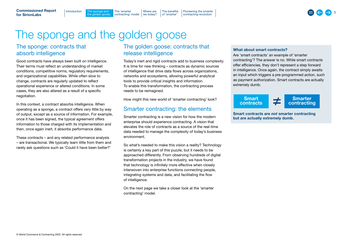# <span id="page-2-0"></span>The sponge and the golden goose

[contracting' model](#page-3-0) | we today?

[Where are](#page-4-0) 

[Introduction](#page-1-0) The sponge and The 'smarter<br>The golden goose contracting' research

## The sponge: contracts that absorb intelligence

Good contracts have always been built on intelligence. Their terms must reflect an understanding of market conditions, competitive norms, regulatory requirements, and organizational capabilities. While often slow to change, contracts are regularly updated to reflect operational experience or altered conditions. In some cases, they are also altered as a result of a specific negotiation.

In this context, a contract absorbs intelligence. When operating as a sponge, a contract offers very little by way of output, except as a source of information. For example, once it has been signed, the typical agreement offers information to those charged with its implementation and then, once again inert, it absorbs performance data.

These contracts – and any related performance analysis – are transactional. We typically learn little from them and rarely ask questions such as 'Could it have been better?'

## The golden goose: contracts that release intelligence

[The benefits](#page-7-0)  of 'smarter'

[Pioneering the smarter](#page-9-0)  contracting revolution

Today's inert and rigid contracts add to business complexity. It is time for new thinking – contracts as dynamic sources of intelligence that drive data flows across organizations, networks and ecosystems, allowing powerful analytical tools to provide critical insights and information. To enable this transformation, the contracting process needs to be reimagined.

How might this new world of 'smarter contracting' look?

## Smarter contracting: the elements

Smarter contracting is a new vision for how the modern enterprise should experience contracting. A vision that elevates the role of contracts as a source of the real-time data needed to manage the complexity of today's business environment.

So what's needed to make this vision a reality? Technology is certainly a key part of this puzzle, but it needs to be approached differently. From observing hundreds of digital transformation projects in the industry, we have found that technology is infinitely more effective when closely interwoven into enterprise functions connecting people, integrating systems and data, and facilitating the flow of intelligence.

On the next page we take a closer look at the 'smarter contracting' model.

#### What about smart contracts?

Are 'smart contracts' an example of 'smarter contracting'? The answer is no. While smart contracts offer efficiencies, they don't represent a step forward in intelligence. Once again, the contract simply awaits an input which triggers a pre-programmed action, such as payment authorization. Smart contracts are actually extremely dumb.



Smart contracts are *not* smarter contracting but are actually extremely dumb.

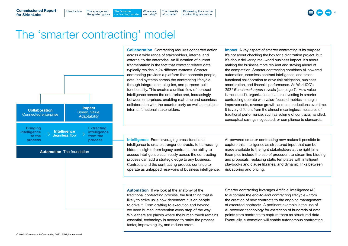[the golden goose](#page-2-0)  $Introduction$  The sponge and The 'smarter'

contracting' model

[Where are](#page-4-0)  we today?

The sponge and  $\begin{array}{c} \text{The length of 1} \\ \text{The length of 2} \\ \text{The length of 3} \end{array}$  The sponge and  $\begin{array}{c} \text{The length of 3} \\ \text{The length of 4} \\ \text{The length of 5} \end{array}$ [The benefits](#page-7-0)  of 'smarter' [Pioneering the smarter](#page-9-0)  contracting revolution

## <span id="page-3-0"></span>The 'smarter contracting' model



Automation The foundation

Collaboration Contracting requires concerted action across a wide range of stakeholders, internal and external to the enterprise. An illustration of current fragmentation is the fact that contract related data typically resides in 24 different systems. Smarter contracting provides a platform that connects people, data, and systems across the contracting lifecycle through integrations, plug-ins, and purpose-built functionality. This creates a unified flow of contract intelligence across the enterprise and, increasingly, between enterprises, enabling real-time and seamless collaboration with the counter party as well as multiple internal functional stakeholders.

Impact A key aspect of smarter contracting is its purpose. It's not about checking the box for a digitization project, but it's about delivering real-world business impact. It's about making the business more resilient and staying ahead of the competition. Smarter contracting combines AI-powered automation, seamless contract intelligence, and crossfunctional collaboration to drive risk mitigation, business acceleration, and financial performance. As WorldCC's *2021 Benchmark report* reveals (see page 7, 'How value is measured'), organizations that are investing in smarter contracting operate with value-focused metrics – margin improvements, revenue growth, and cost reductions over time. It is very different from the almost meaningless measures of traditional performance, such as volume of contracts handled, conceptual savings negotiated, or compliance to standards.

Intelligence From leveraging cross-functional intelligence to create stronger contracts, to harnessing hidden insights from legacy contracts, the ability to access intelligence seamlessly across the contracting process can add a strategic edge to any business. Contracts and the contracting process continue to operate as untapped reservoirs of business intelligence. AI-powered smarter contracting now makes it possible to capture this intelligence as structured input that can be made available to the right stakeholders at the right time. Examples include the use of precedent to streamline bidding and proposals, replacing static templates with intelligent playbooks and clause libraries, and dynamic links between risk scoring and pricing.

Automation If we look at the anatomy of the traditional contracting process, the first thing that is likely to strike us is how dependent it is on people to drive it. From drafting to execution and beyond, we need human intervention every step of the way. While there are places where the human touch remains essential, technology is needed to make the process faster, improve agility, and reduce errors.

Smarter contracting leverages Artificial Intelligence (AI) to automate the end-to-end contracting lifecycle – from the creation of new contracts to the ongoing management of executed contracts. A pertinent example is the use of AI-powered technology for extraction of hundreds of data points from contracts to capture them as structured data. Eventually, automation will enable autonomous contracting.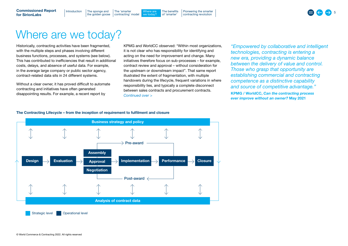<span id="page-4-0"></span>Commissioned Report for SirionLabs

[the golden goose](#page-2-0) [Introduction](#page-1-0)  $\Box$  The sponge and  $\Box$  The 'smarter

[contracting' model](#page-3-0) Where are we today?

# Where are we today?

Historically, contracting activities have been fragmented, with the multiple steps and phases involving different business functions, processes, and systems (see below). This has contributed to inefficiencies that result in additional costs, delays, and absence of useful data. For example, in the average large company or public sector agency, contract-related data sits in 24 different systems.

Without a clear owner, it has proved difficult to automate contracting and initiatives have often generated disappointing results. For example, a recent report by

KPMG and WorldCC observed: "Within most organizations, it is not clear who has responsibility for identifying and acting on the need for improvement and change. Many initiatives therefore focus on sub-processes – for example, contract review and approval – without consideration for the upstream or downstream impact". That same report illustrated the extent of fragmentation, with multiple handovers during the lifecycle, frequent variations in where responsibility lies, and typically a complete disconnect between sales contracts and procurement contracts. *Continued over >*

*"Empowered by collaborative and intelligent technologies, contracting is entering a new era, providing a dynamic balance between the delivery of value and control. Those who grasp that opportunity are establishing commercial and contracting competence as a distinctive capability and source of competitive advantage."* KPMG / WorldCC, *Can the contracting process ever improve without an owner?* May 2021

#### The Contracting Lifecycle – from the inception of requirement to fulfilment and closure

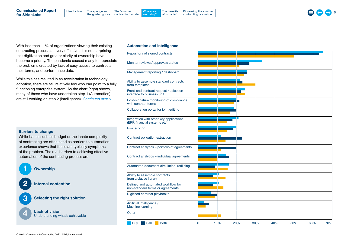With less than 11% of organizations viewing their existing contracting process as 'very effective', it is not surprising that digitization and greater clarity of ownership have become a priority. The pandemic caused many to appreciate the problems created by lack of easy access to contracts, their terms, and performance data.

[Introduction](#page-1-0) | The sponge and | The 'smarter [the golden goose](#page-2-0)

[contracting' model](#page-3-0)

While this has resulted in an acceleration in technology adoption, there are still relatively few who can point to a fully functioning enterprise system. As the chart (right) shows, many of those who have undertaken step 1 (Automation) are still working on step 2 (Intelligence). *Continued over >*

#### Barriers to change

While issues such as budget or the innate complexity of contracting are often cited as barriers to automation, experience shows that these are typically symptoms of the problem. The real barriers to achieving effective automation of the contracting process are:

# **Ownership** Internal contention **3** Selecting the right solution

**4** Lack of vision<br>
Understanding what's achievable

#### Automation and Intelligence

[Where are](#page-4-0)  we today?

[The benefits](#page-7-0)  of 'smarter'

[Pioneering the smarter](#page-9-0)  contracting revolution

| Repository of signed contracts                                          |             |     |     |     |     |     |     |     |
|-------------------------------------------------------------------------|-------------|-----|-----|-----|-----|-----|-----|-----|
| Monitor reviews / approvals status                                      |             |     |     |     |     |     |     |     |
| Management reporting / dashboard                                        |             |     |     |     |     |     |     |     |
| Ability to assemble standard contracts<br>from templates                |             |     |     |     |     |     |     |     |
| Front-end contract request / selection<br>interface to business unit    |             |     |     |     |     |     |     |     |
| Post-signature monitoring of compliance<br>with contract terms          |             |     |     |     |     |     |     |     |
| Collaboration portal for joint editing                                  |             |     |     |     |     |     |     |     |
| Integration with other key applications<br>(ERP, financial systems etc) |             |     |     |     |     |     |     |     |
| <b>Risk scoring</b>                                                     |             |     |     |     |     |     |     |     |
| Contract obligation extraction                                          |             |     |     |     |     |     |     |     |
| Contract analytics - portfolio of agreements                            |             |     |     |     |     |     |     |     |
| Contract analytics - individual agreements                              |             |     |     |     |     |     |     |     |
| Automated document circulation, redlining                               |             |     |     |     |     |     |     |     |
| Ability to assemble contracts<br>from a clause library                  |             |     |     |     |     |     |     |     |
| Defined and automated workflow for<br>non-standard terms or agreements  |             |     |     |     |     |     |     |     |
| Digitized contract playbooks                                            |             |     |     |     |     |     |     |     |
| Artificial intelligence /<br>Machine learning                           |             |     |     |     |     |     |     |     |
| Other                                                                   |             |     |     |     |     |     |     |     |
| <b>Buy</b><br>Sell<br><b>Both</b>                                       | $\mathbf 0$ | 10% | 20% | 30% | 40% | 50% | 60% | 70% |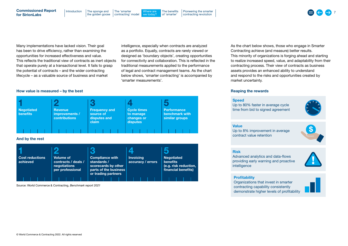The sponge and  $\begin{array}{c} \text{The number of matrices in the image and the image is a number of points in the image.} \\ \text{The number of matrices in the image and the image is a number of points in the image.} \end{array}$ [the golden goose](#page-2-0) [Introduction](#page-1-0)  $\vert$  The sponge and  $\vert$  The 'smarter [contracting' model](#page-3-0) [Where are](#page-4-0)  we today? [The benefits](#page-7-0)  of 'smarter' Commissioned Report for SirionLabs [Pioneering the smarter](#page-9-0)  contracting revolution

Many implementations have lacked vision. Their goal has been to drive efficiency, rather than examining the opportunities for increased effectiveness and value. This reflects the traditional view of contracts as inert objects that operate purely at a transactional level. It fails to grasp the potential of contracts – and the wider contracting lifecycle – as a valuable source of business and market

intelligence, especially when contracts are analyzed as a portfolio. Equally, contracts are rarely viewed or designed as 'boundary objects', creating opportunities for connectivity and collaboration. This is reflected in the traditional measurements applied to the performance of legal and contract management teams. As the chart below shows, 'smarter contracting' is accompanied by 'smarter measurements'.

#### How value is measured – by the best



Source: World Commerce & Contracting, *Benchmark report 2021*

As the chart below shows, those who engage in Smarter Contracting achieve (and measure) better results. This minority of organizations is forging ahead and starting to realize increased speed, value, and adaptability from their contracting process. Their view of contracts as business assets provides an enhanced ability to understand and respond to the risks and opportunities created by market uncertainty.

#### Reaping the rewards

#### **Speed**

Up to 80% faster in average cycle time from bid to signed agreement



#### Value

Up to 8% improvement in average contract value retention



#### Risk

Advanced analytics and data-flows providing early warning and proactive intelligence



#### **Profitability**

Organizations that invest in smarter contracting capability consistently demonstrate higher levels of profitability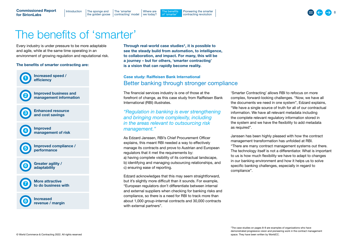

# <span id="page-7-0"></span>The benefits of 'smarter'

Every industry is under pressure to be more adaptable and agile, while at the same time operating in an

environment of growing regulation and reputational risk.

The benefits of smarter contracting are:



Through real-world case studies\*, it is possible to see the steady build from automation, to intelligence, to collaboration, and impact. For many, this will be a journey – but for others, 'smarter contracting' is a vision that can rapidly become reality.

## Case study: Raiffeisen Bank International Better banking through stronger compliance

The financial services industry is one of those at the forefront of change, as this case study from Raiffeisen Bank International (RBI) illustrates.

## *"Regulation in banking is ever strengthening and bringing more complexity, including in the areas relevant to outsourcing risk management."*

As Edzard Janssen, RBI's Chief Procurement Officer explains, this meant RBI needed a way to effectively manage its contracts and prove to Austrian and European regulators that it met the requirements by: a) having complete visibility of its contractual landscape, b) identifying and managing outsourcing relationships, and c) ensuring ease of reporting.

Edzard acknowledges that this may seem straightforward, but it's slightly more difficult than it sounds. For example, "European regulators don't differentiate between internal and external suppliers when checking for banking risks and compliance, so there is a need for RBI to track more than about 1,000 group-internal contracts and 30,000 contracts with external partners".

'Smarter Contracting' allows RBI to refocus on more complex, forward-looking challenges. "Now, we have all the documents we need in one system", Edzard explains, "We have a single source of truth for all of our contractual information. We have all relevant metadata including the complete relevant regulatory information stored in the system and we have the flexibility to add metadata as required".

Janssen has been highly pleased with how the contract management transformation has unfolded at RBI. "There are many contract management systems out there. The technology itself is not a differentiator. What is important to us is how much flexibility we have to adapt to changes in our banking environment and how it helps us to solve specific banking challenges, especially in regard to compliance".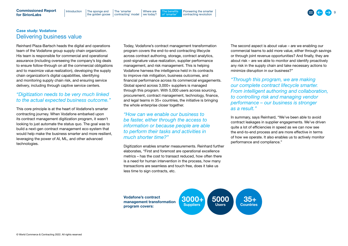## <span id="page-8-0"></span>Case study: Vodafone Delivering business value

Reinhard Plaza-Bartsch heads the digital and operations team of the Vodafone group supply chain organization. His team is responsible for commercial and operational assurance (including overseeing the company's big deals to ensure follow-through on all the commercial obligations and to maximize value realization), developing the supply chain organization's digital capabilities, identifying and monitoring supply chain risk, and ensuring service delivery, including through captive service centers.

## *"Digitization needs to be very much linked to the actual expected business outcome."*

This core principle is at the heart of Vodafone's smarter contracting journey. When Vodafone embarked upon its contract management digitization program, it wasn't looking to just automate the status quo. The goal was to build a next-gen contract management eco-system that would help make the business smarter and more resilient, leveraging the power of AI, ML, and other advanced technologies.

Today, Vodafone's contract management transformation program covers the end-to-end contracting lifecycle across contract authoring, storage, contract analytics, post-signature value realization, supplier performance management, and risk management. This is helping Vodafone harness the intelligence held in its contracts to improve risk mitigation, business outcomes, and financial performance across its commercial engagements. Global spend across 3,000+ suppliers is managed through this program. With 5,000 users across sourcing, procurement, contract management, technology, finance, and legal teams in 35+ countries, the initiative is bringing the whole enterprise closer together.

## *"How can we enable our business to be faster, either through the access to information or because people are able to perform their tasks and activities in much shorter time?"*

Digitization enables smarter measurements. Reinhard further elaborates, "First and foremost are operational excellence metrics – has the cost to transact reduced, how often there is a need for human intervention in the process, how many transactions are seamless and touch free, does it take us less time to sign contracts, etc.

The second aspect is about value – are we enabling our commercial teams to add more value, either through savings or through joint revenue opportunities? And finally, they are about risk – are we able to monitor and identify proactively any risk in the supply chain and take necessary actions to minimize disruption in our business?"

*"Through this program, we are making our complete contract lifecycle smarter. From intelligent authoring and collaboration, to controlling risk and managing vendor performance – our business is stronger as a result."*

In summary, says Reinhard, "We've been able to avoid contract leakages in supplier engagements. We've driven quite a lot of efficiencies in speed as we can now see the end-to-end process and are more effective in terms of how we operate. It also enables us to actively monitor performance and compliance."





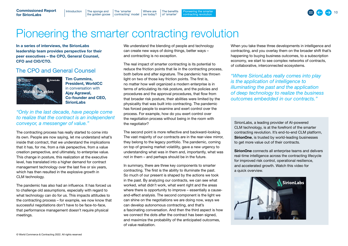#### <span id="page-9-0"></span>Commissioned Report for SirionLabs watch the video video video video video video video video video video video video video video video video video<br>Ne video video video video video video video video video video video video video video video video video video

[the golden goose](#page-2-0) Introduction  $\parallel$  The sponge and  $\parallel$  The 'smarter Rajeev Kumar

The sponge and Software in the smarter are the spongering the smarter and the smarter of the sponge and the smarter the smarter of the sponge and  $\sim$  10 The sponge and  $\sim$  10 The sponge of the smarter of the smarter of t [contracting' model](#page-3-0) | we today? [Where are](#page-4-0)  [The benefits](#page-7-0)  of 'smarter'

## Pioneering the smarter contracting revolution Tim Cummins,

In a series of interviews, the SirionLabs leadership team provides perspective for their peer executives – the CPO, General Counsel, CFO and CIO/CTO.

## The CPO and General Counsel



Tim Cummins, President, WorldCC in conversation with Ajay Agrawal, [Co-founder and CEO,](https://iaccm.wistia.com/medias/fp99vz2isf)  **SirionLabs** 

*"Only in the last decade, have people come to realize that the contract is an independent conveyor, a messenger of value."*

The contracting process has really started to come into its own. People are now saying, let me understand what's inside that contract, that we understand the implications that it has, for me, from a risk perspective, from a value creation perspective, and ultimately, to enterprise value. This change in posture, this realization at the executive level, has translated into a higher demand for contract management technology over the last five or six years, which has then resulted in the explosive growth in CLM technology.

The pandemic has also had an influence. It has forced us to challenge old assumptions, especially with regard to what technology can do for us. This impacts attitudes to the contracting process – for example, we now know that successful negotiations don't have to be face-to-face, that performance management doesn't require physical meetings.

We understand the blending of people and technology can create new ways of doing things, better ways – and contracting is no exception.

The real impact of smarter contracting is its potential to reduce the friction points that lie in the contracting process, both before and after signature. The pandemic has thrown light on two of those key friction points. The first is, no matter how well organized a modern enterprise is in terms of articulating its risk posture, and the policies and procedures and the approval procedures, that flow from that broader risk posture, their abilities were limited by the physicality that was built into contracting. The pandemic has forced people to examine and exert control over the process. For example, how do you exert control over the negotiation process without being in the room with the negotiator?

The second point is more reflective and backward-looking. The vast majority of our contracts are in the rear-view mirror, they belong to the legacy portfolio. The pandemic, coming on top of growing market volatility, gave a new urgency to understanding what was in them and, importantly, what was not in them – and perhaps should be in the future.

In summary, there are three key components to smarter contracting. The first is the ability to illuminate the past. So much of our present is shaped by the actions we took in the past. By analyzing our contracts, we can see what worked, what didn't work, what went right and the areas where there is opportunity to improve – essentially a causeand-effect analysis. The second component is the light we can shine on the negotiations we are doing now, ways we can develop autonomous contracting, and that's a fascinating conversation. And then the third aspect is how we connect the dots after the contract has been signed. and maximize the probability of the anticipated outcomes, of value realization.

When you take these three developments in intelligence and contracting, and you overlay them on the broader shift that's happening to buying business outcomes, to a subscription economy, we start to see complex networks of contracts, of collaborative, interconnected ecosystems.

*"Where SirionLabs really comes into play is the application of intelligence to illuminating the past and the application of deep technology to realize the business outcomes embedded in our contracts."*

SirionLabs, a leading provider of AI-powered CLM technology, is at the forefront of the smarter contracting revolution. It's end-to-end CLM platform, SirionOne, is trusted by world-leading businesses to get more value out of their contracts.

SirionOne connects all enterprise teams and delivers real-time intelligence across the contracting lifecycle for improved risk control, operational resilience, and accelerated growth. Watch this video for a quick overview.



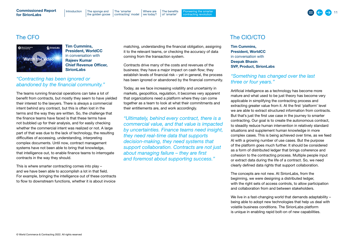## for SirionLabs

## The CFO

World Commerce

Tim Cummins, SirionLabs President, WorldCC in conversation with Rajeev Kumar [Chief Revenue Officer,](https://iaccm.wistia.com/medias/pmn9qumnk5)  **SirionLabs** 

#### *"Contracting has been ignored or*  abandoned by the financial community." President, WorldCC

The teams running financial operations can take a lot of the contracts, but mostly they seem to have yielded their interest to the lawyers. There is always a commercial intent behind any contract, but this is often lost in the terms and the way they are written. So, the challenge that the finance teams have faced is that these terms have not bubbled up for their analysis, and for easily checking not babbied up to their analysis, and to babily chocking<br>whether the commercial intent was realized or not. A large mistrict the commission ment was connected of their Artalyce part of that was due to the lack of technology, the resulting part of that was due to the lack of technology, the redifficulties of accessing, understanding, interpreting complex documents. Until now, contract management systems have not been able to bring that knowledge, that intelligence out, to enable finance teams to interrogate contracts in the way they should.  $\alpha$ -founder and  $\alpha$ , interpretation

This is where smarter contracting comes into play – and we have been able to accomplish a lot in that field. For example, bringing the intelligence out of these contracts to flow to downstream functions, whether it is about invoice

matching, understanding the financial obligation, assigning it to the relevant teams, or checking the accuracy of data coming from the transaction system.

[Where are](#page-4-0) 

Contracts drive many of the costs and revenues of the business; they have a major impact on cash flow; they establish levels of financial risk – yet in general, the process has been ignored or abandoned by the financial community.

Today, as we face increasing volatility and uncertainty in markets, geopolitics, regulation, it becomes very apparent that organizations need a platform where they can come together as a team to look at what their commitments and their entitlements are, and work accordingly.

*"Ultimately, behind every contract, there is a* 

*commercial value, and that value is impacted by uncertainties. Finance teams need insight, they need real-time data that supports decision-making, they need systems that support collaboration. Contracts are not just about managing failure – they are first and foremost about supporting success."* 

## The CIO/CTO

Tim Cummins, President, WorldCC in conversation with Deepak Bhasin SVP, Product, SirionLabs

## *"Something has changed over the last three or four years."*

Artificial intelligence as a technology has become more mature and what used to be just theory has become very applicable in simplifying the contracting process and extracting greater value from it. At the first 'platform' level we are able to extract structured information from contracts. But that's just the first use case in the journey to smarter contracting. Our goal is to create the autonomous contract, to steadily reduce human intervention in relatively standard situations and supplement human knowledge in more complex cases. This is being achieved over time, as we feed AI with a growing number of use cases. But the purpose of the platform goes much further. It should be considered as a form of distributed ledger that brings coherence and cohesion to the contracting process. Multiple people input or extract data during the life of a contract. So, we need clearly defined data rights that support collaboration.

The concepts are not new. At SirionLabs, from the beginning, we were designing a distributed ledger, with the right sets of access controls, to allow participation and collaboration from and between stakeholders.

We live in a fast-changing world that demands adaptability being able to adopt new technologies that help us deal with volatile business conditions. The SirionLabs platform is unique in enabling rapid bolt-on of new capabilities.

Watch the video

#### [the golden goose](#page-2-0) [Introduction](#page-1-0)  $\Box$  The sponge and  $\Box$  The 'smarter [contracting' model](#page-3-0) | we today?